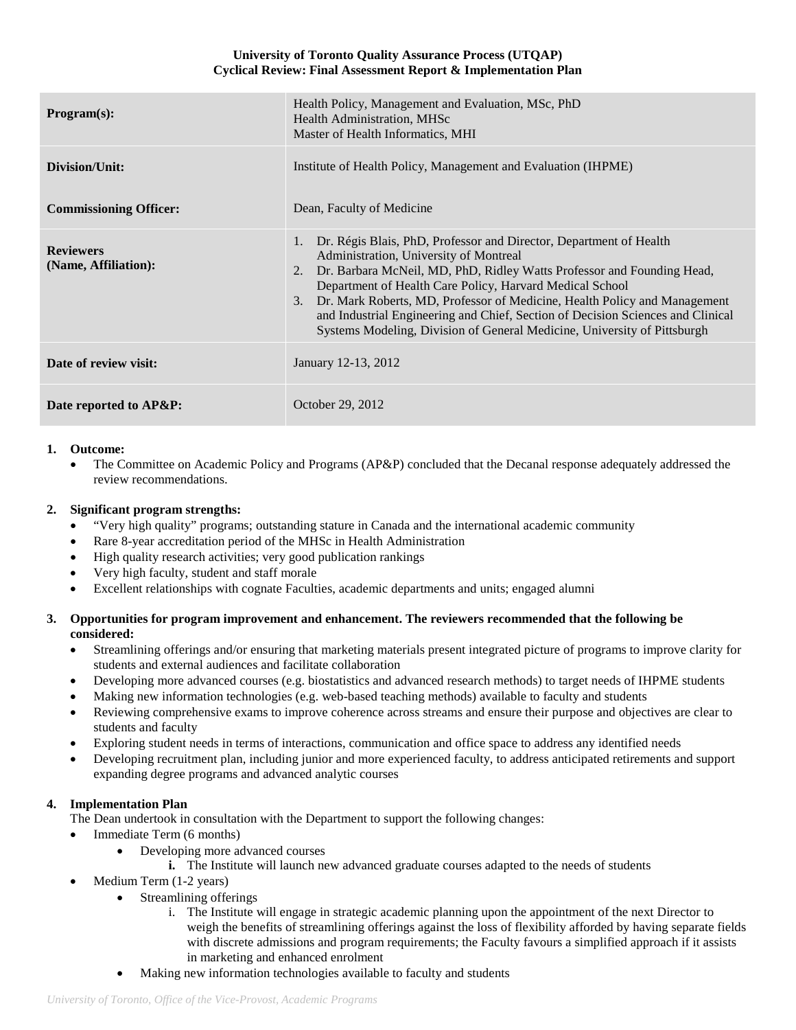#### **University of Toronto Quality Assurance Process (UTQAP) Cyclical Review: Final Assessment Report & Implementation Plan**

| Program(s):                              | Health Policy, Management and Evaluation, MSc, PhD<br>Health Administration, MHSc<br>Master of Health Informatics, MHI                                                                                                                                                                                                                                                                                                                                                                                        |
|------------------------------------------|---------------------------------------------------------------------------------------------------------------------------------------------------------------------------------------------------------------------------------------------------------------------------------------------------------------------------------------------------------------------------------------------------------------------------------------------------------------------------------------------------------------|
| Division/Unit:                           | Institute of Health Policy, Management and Evaluation (IHPME)                                                                                                                                                                                                                                                                                                                                                                                                                                                 |
| <b>Commissioning Officer:</b>            | Dean, Faculty of Medicine                                                                                                                                                                                                                                                                                                                                                                                                                                                                                     |
| <b>Reviewers</b><br>(Name, Affiliation): | 1. Dr. Régis Blais, PhD, Professor and Director, Department of Health<br>Administration, University of Montreal<br>Dr. Barbara McNeil, MD, PhD, Ridley Watts Professor and Founding Head,<br>2.<br>Department of Health Care Policy, Harvard Medical School<br>Dr. Mark Roberts, MD, Professor of Medicine, Health Policy and Management<br>3.<br>and Industrial Engineering and Chief, Section of Decision Sciences and Clinical<br>Systems Modeling, Division of General Medicine, University of Pittsburgh |
| Date of review visit:                    | January 12-13, 2012                                                                                                                                                                                                                                                                                                                                                                                                                                                                                           |
| Date reported to AP&P:                   | October 29, 2012                                                                                                                                                                                                                                                                                                                                                                                                                                                                                              |

### **1. Outcome:**

• The Committee on Academic Policy and Programs (AP&P) concluded that the Decanal response adequately addressed the review recommendations.

## **2. Significant program strengths:**

- "Very high quality" programs; outstanding stature in Canada and the international academic community
- Rare 8-year accreditation period of the MHSc in Health Administration
- High quality research activities; very good publication rankings
- Very high faculty, student and staff morale
- Excellent relationships with cognate Faculties, academic departments and units; engaged alumni

### **3. Opportunities for program improvement and enhancement. The reviewers recommended that the following be considered:**

- Streamlining offerings and/or ensuring that marketing materials present integrated picture of programs to improve clarity for students and external audiences and facilitate collaboration
- Developing more advanced courses (e.g. biostatistics and advanced research methods) to target needs of IHPME students
- Making new information technologies (e.g. web-based teaching methods) available to faculty and students
- Reviewing comprehensive exams to improve coherence across streams and ensure their purpose and objectives are clear to students and faculty
- Exploring student needs in terms of interactions, communication and office space to address any identified needs
- Developing recruitment plan, including junior and more experienced faculty, to address anticipated retirements and support expanding degree programs and advanced analytic courses

# **4. Implementation Plan**

The Dean undertook in consultation with the Department to support the following changes:

- Immediate Term (6 months)
	- Developing more advanced courses
		- **i.** The Institute will launch new advanced graduate courses adapted to the needs of students
- Medium Term (1-2 years)
	- Streamlining offerings
		- i. The Institute will engage in strategic academic planning upon the appointment of the next Director to weigh the benefits of streamlining offerings against the loss of flexibility afforded by having separate fields with discrete admissions and program requirements; the Faculty favours a simplified approach if it assists in marketing and enhanced enrolment
	- Making new information technologies available to faculty and students